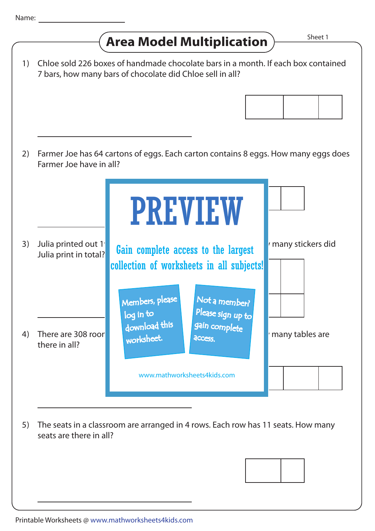